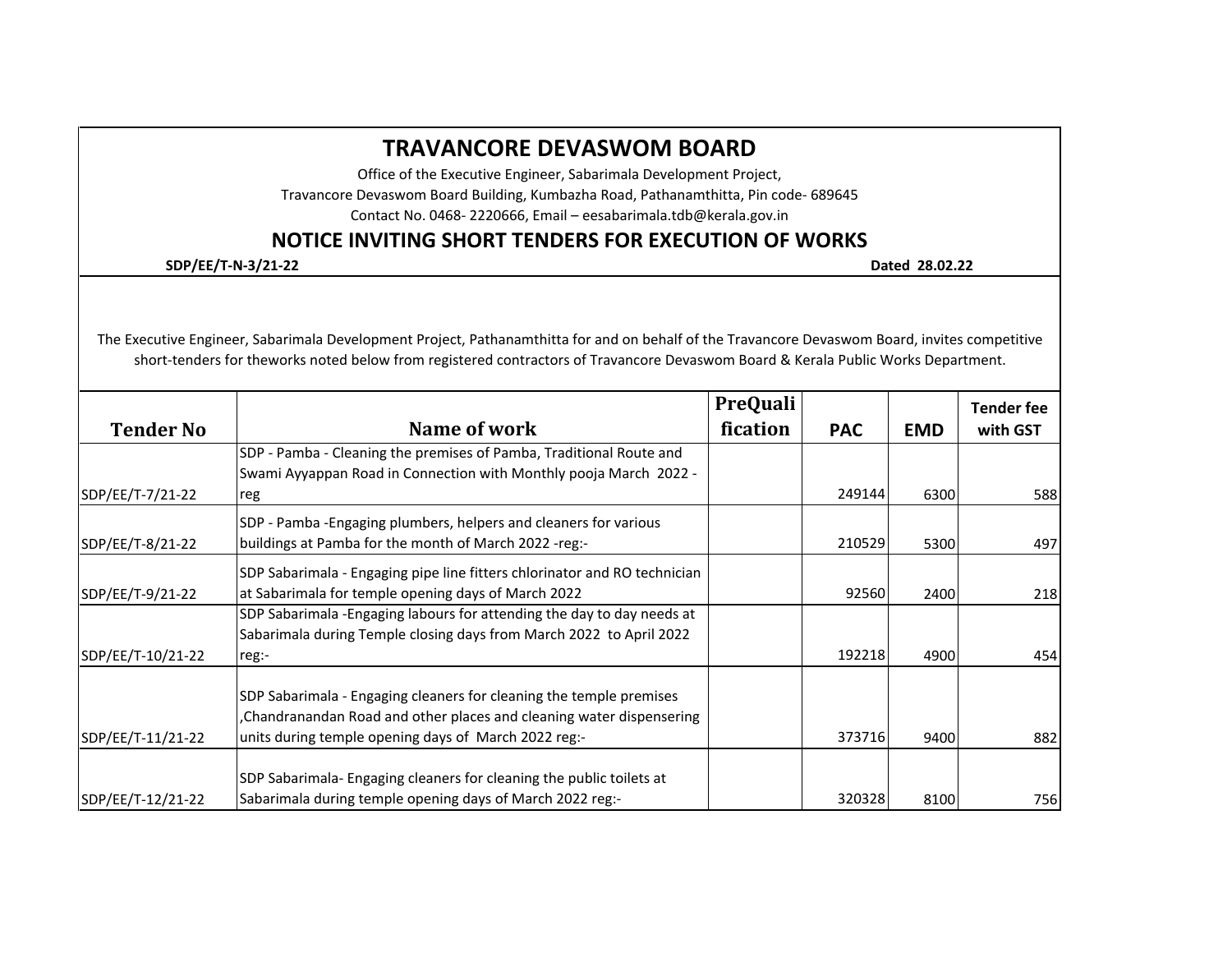## **Tender No Name of work PreQuali fication PAC EMD Tender fee with GST** SDP/EE/T-7/21-22 SDP - Pamba - Cleaning the premises of Pamba, Traditional Route and Swami Ayyappan Road in Connection with Monthly pooja March 2022 reg 249144 6300 588 588 589 588 589 590 591 592 593 594 595 596 597 598 598 598 5 **TRAVANCORE DEVASWOM BOARD** Office of the Executive Engineer, Sabarimala Development Project, Travancore Devaswom Board Building, Kumbazha Road, Pathanamthitta, Pin code- 689645 Contact No. 0468- 2220666, Email – eesabarimala.tdb@kerala.gov.in **NOTICE INVITING SHORT TENDERS FOR EXECUTION OF WORKS SDP/EE/T-N-3/21-22 Dated 28.02.22** The Executive Engineer, Sabarimala Development Project, Pathanamthitta for and on behalf of the Travancore Devaswom Board, invites competitive short-tenders for theworks noted below from registered contractors of Travancore Devaswom Board & Kerala Public Works Department. SDP/EE/T-8/21-22 SDP - Pamba -Engaging plumbers, helpers and cleaners for various buildings at Pamba for the month of March 2022 -reg:- 210529 210529 5300 5300 497 SDP/EE/T-9/21-22 SDP Sabarimala - Engaging pipe line fitters chlorinator and RO technician at Sabarimala for temple opening days of March 2022 **92560** 22560 2400 218 SDP/EE/T-10/21-22 SDP Sabarimala -Engaging labours for attending the day to day needs at Sabarimala during Temple closing days from March 2022 to April 2022 reg:- 192218 4900 454 SDP/EE/T-11/21-22 SDP Sabarimala - Engaging cleaners for cleaning the temple premises ,Chandranandan Road and other places and cleaning water dispensering units during temple opening days of March 2022 reg:-  $\vert$  373716 9400 9400 882 SDP/EE/T-12/21-22 SDP Sabarimala- Engaging cleaners for cleaning the public toilets at Sabarimala during temple opening days of March 2022 reg:-  $\vert$  320328 8100 8100 756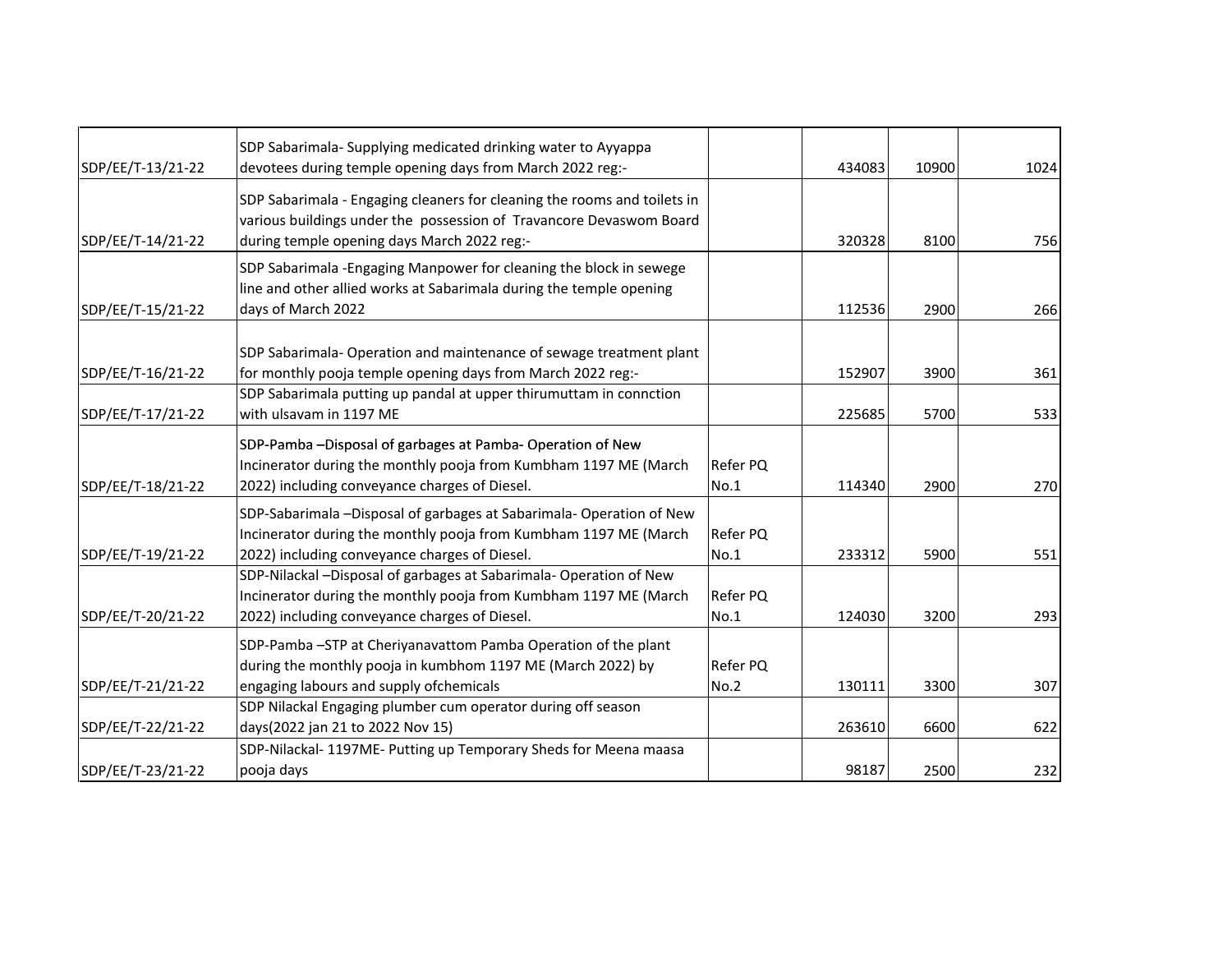|                   | SDP Sabarimala- Supplying medicated drinking water to Ayyappa            |                 |        |       |      |
|-------------------|--------------------------------------------------------------------------|-----------------|--------|-------|------|
| SDP/EE/T-13/21-22 | devotees during temple opening days from March 2022 reg:-                |                 | 434083 | 10900 | 1024 |
|                   | SDP Sabarimala - Engaging cleaners for cleaning the rooms and toilets in |                 |        |       |      |
|                   | various buildings under the possession of Travancore Devaswom Board      |                 |        |       |      |
| SDP/EE/T-14/21-22 | during temple opening days March 2022 reg:-                              |                 | 320328 | 8100  | 756  |
|                   | SDP Sabarimala - Engaging Manpower for cleaning the block in sewege      |                 |        |       |      |
|                   | line and other allied works at Sabarimala during the temple opening      |                 |        |       |      |
| SDP/EE/T-15/21-22 | days of March 2022                                                       |                 | 112536 | 2900  | 266  |
|                   |                                                                          |                 |        |       |      |
|                   | SDP Sabarimala-Operation and maintenance of sewage treatment plant       |                 |        |       |      |
| SDP/EE/T-16/21-22 | for monthly pooja temple opening days from March 2022 reg:-              |                 | 152907 | 3900  | 361  |
|                   | SDP Sabarimala putting up pandal at upper thirumuttam in connction       |                 |        |       |      |
| SDP/EE/T-17/21-22 | with ulsavam in 1197 ME                                                  |                 | 225685 | 5700  | 533  |
|                   | SDP-Pamba -Disposal of garbages at Pamba-Operation of New                |                 |        |       |      |
|                   | Incinerator during the monthly pooja from Kumbham 1197 ME (March         | Refer PQ        |        |       |      |
| SDP/EE/T-18/21-22 | 2022) including conveyance charges of Diesel.                            | No.1            | 114340 | 2900  | 270  |
|                   | SDP-Sabarimala -Disposal of garbages at Sabarimala-Operation of New      |                 |        |       |      |
|                   | Incinerator during the monthly pooja from Kumbham 1197 ME (March         | <b>Refer PQ</b> |        |       |      |
| SDP/EE/T-19/21-22 | 2022) including conveyance charges of Diesel.                            | No.1            | 233312 | 5900  | 551  |
|                   | SDP-Nilackal -Disposal of garbages at Sabarimala- Operation of New       |                 |        |       |      |
|                   | Incinerator during the monthly pooja from Kumbham 1197 ME (March         | <b>Refer PQ</b> |        |       |      |
| SDP/EE/T-20/21-22 | 2022) including conveyance charges of Diesel.                            | No.1            | 124030 | 3200  | 293  |
|                   | SDP-Pamba -STP at Cheriyanavattom Pamba Operation of the plant           |                 |        |       |      |
|                   | during the monthly pooja in kumbhom 1197 ME (March 2022) by              | Refer PQ        |        |       |      |
| SDP/EE/T-21/21-22 | engaging labours and supply ofchemicals                                  | <b>No.2</b>     | 130111 | 3300  | 307  |
|                   | SDP Nilackal Engaging plumber cum operator during off season             |                 |        |       |      |
| SDP/EE/T-22/21-22 | days(2022 jan 21 to 2022 Nov 15)                                         |                 | 263610 | 6600  | 622  |
|                   | SDP-Nilackal-1197ME-Putting up Temporary Sheds for Meena maasa           |                 |        |       |      |
| SDP/EE/T-23/21-22 | pooja days                                                               |                 | 98187  | 2500  | 232  |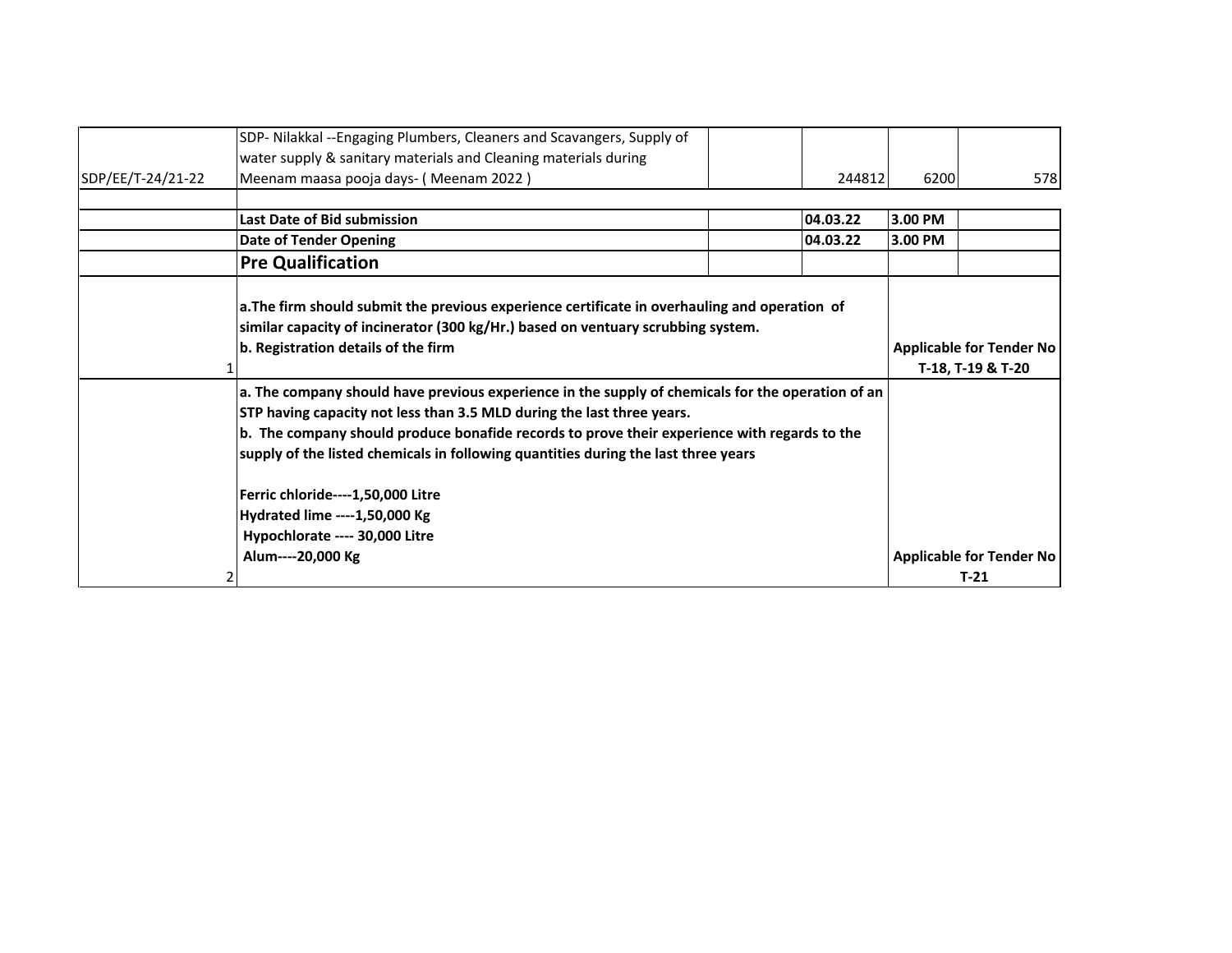|                   | SDP- Nilakkal --Engaging Plumbers, Cleaners and Scavangers, Supply of                                                                                                                                                   |                                                      |         |                          |
|-------------------|-------------------------------------------------------------------------------------------------------------------------------------------------------------------------------------------------------------------------|------------------------------------------------------|---------|--------------------------|
|                   | water supply & sanitary materials and Cleaning materials during                                                                                                                                                         |                                                      |         |                          |
| SDP/EE/T-24/21-22 | Meenam maasa pooja days- (Meenam 2022)                                                                                                                                                                                  | 244812                                               | 6200    | 578                      |
|                   |                                                                                                                                                                                                                         |                                                      |         |                          |
|                   | Last Date of Bid submission                                                                                                                                                                                             | 04.03.22                                             | 3.00 PM |                          |
|                   | <b>Date of Tender Opening</b>                                                                                                                                                                                           | 04.03.22                                             | 3.00 PM |                          |
|                   | <b>Pre Qualification</b>                                                                                                                                                                                                |                                                      |         |                          |
|                   | a.The firm should submit the previous experience certificate in overhauling and operation of<br>similar capacity of incinerator (300 kg/Hr.) based on ventuary scrubbing system.<br>b. Registration details of the firm | <b>Applicable for Tender No</b><br>T-18, T-19 & T-20 |         |                          |
|                   | a. The company should have previous experience in the supply of chemicals for the operation of an                                                                                                                       |                                                      |         |                          |
|                   | STP having capacity not less than 3.5 MLD during the last three years.                                                                                                                                                  |                                                      |         |                          |
|                   | b. The company should produce bonafide records to prove their experience with regards to the                                                                                                                            |                                                      |         |                          |
|                   | supply of the listed chemicals in following quantities during the last three years                                                                                                                                      |                                                      |         |                          |
|                   | Ferric chloride----1,50,000 Litre                                                                                                                                                                                       |                                                      |         |                          |
|                   | Hydrated lime ---- 1,50,000 Kg                                                                                                                                                                                          |                                                      |         |                          |
|                   | Hypochlorate ---- 30,000 Litre                                                                                                                                                                                          |                                                      |         |                          |
|                   | Alum----20,000 Kg                                                                                                                                                                                                       |                                                      |         | Applicable for Tender No |
|                   |                                                                                                                                                                                                                         |                                                      |         | $T-21$                   |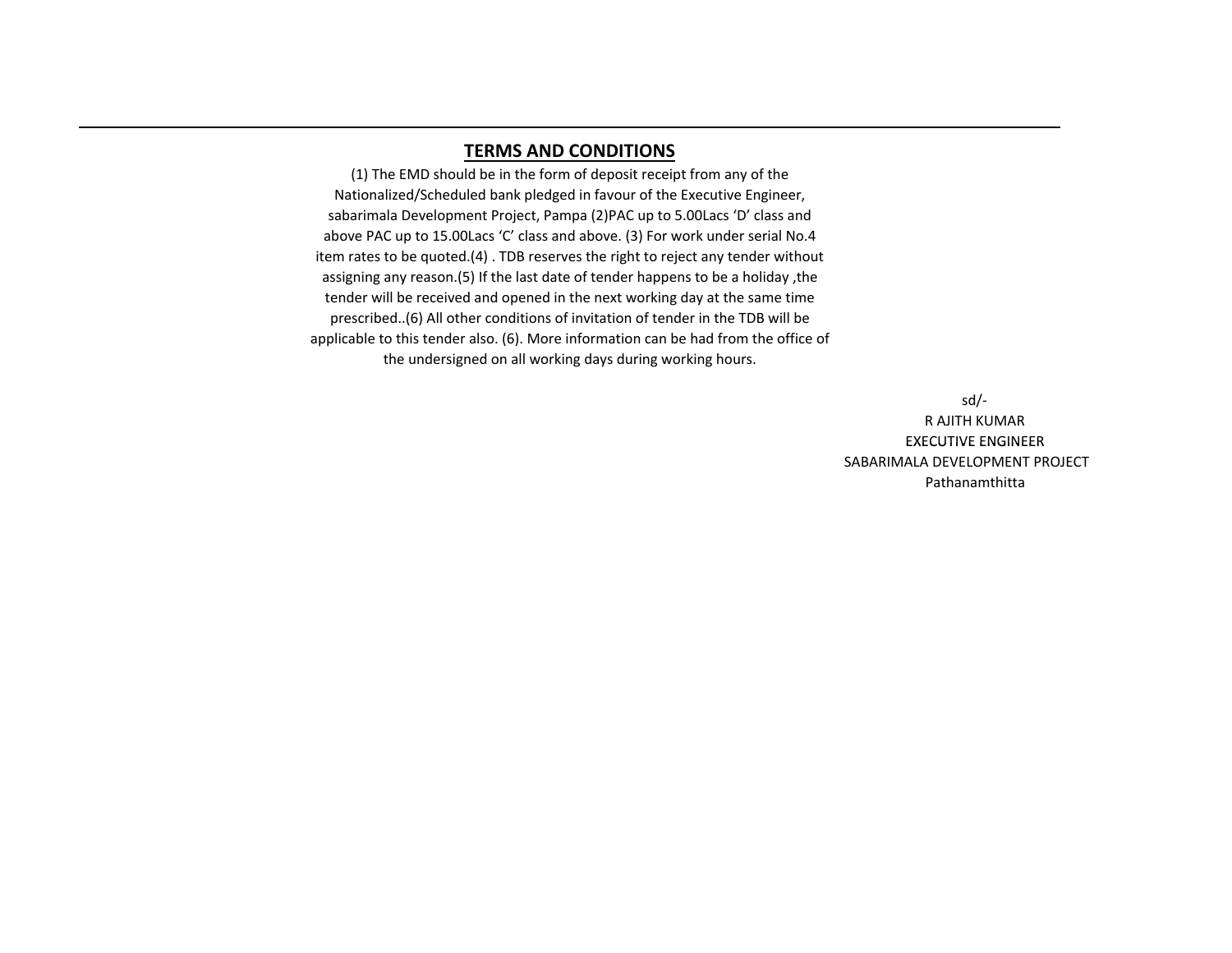## **TERMS AND CONDITIONS**

(1) The EMD should be in the form of deposit receipt from any of the Nationalized/Scheduled bank pledged in favour of the Executive Engineer, sabarimala Development Project, Pampa (2)PAC up to 5.00Lacs 'D' class and above PAC up to 15.00Lacs 'C' class and above. (3) For work under serial No.4 item rates to be quoted.(4) . TDB reserves the right to reject any tender without assigning any reason.(5) If the last date of tender happens to be a holiday ,the tender will be received and opened in the next working day at the same time prescribed..(6) All other conditions of invitation of tender in the TDB will be applicable to this tender also. (6). More information can be had from the office of the undersigned on all working days during working hours.

> SABARIMALA DEVELOPMENT PROJECT sd/- R AJITH KUMAR EXECUTIVE ENGINEER Pathanamthitta